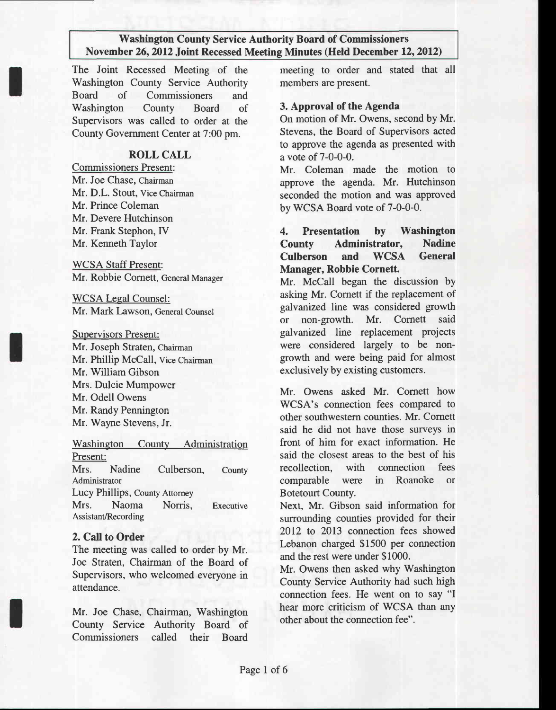The Joint Recessed Meeting of the Washington County Service Authority Board of Commissioners and Washington County Board of Supervisors was called to order at the County Government Center at 7:00 pm.

#### ROLL CALL

Commissioners Present: Mr. Joe Chase, Chairman Mr. D.L. Stout, Vice Chairman Mr. Prince Coleman Mr. Devere Hutchinson Mr. Frank Stephon, [V Mr. Kenneth Taylor

WCSA Staff Present: Mr. Robbie Cornett, General Manager

WCSA Legal Counsel: Mr. Mark Lawson, General Counsel

Supervisors Present:

Mr. Joseph Straten, Chairman Mr. Phillip McCall, vice Chairman Mr. William Gibson Mrs. Dulcie Mumpower Mr. Odell Owens Mr. Randy Pennington Mr. Wayne Stevens, Jr.

Washington County Administration Present: Mrs. Nadine Culberson, County Administrator Lucy Phillips, County Attorney Mrs. Naoma Norris. Executive Assistant/Recording

#### 2. Call to Order

The meeting was called to order by Mr. Joe Straten, Chairman of the Board of Supervisors, who welcomed everyone in attendance.

Mr. Joe Chase, Chairman, Washington County Service Authority Board of Commissioners called their Board

meeting to order and stated that all members are present.

#### 3. Approval of the Agenda

On motion of Mr. Owens, second by Mr. Stevens, the Board of Supervisors acted to approve the agenda as presented with a vote of 7-0-0-0.

Mr. Coleman made the motion to approve the agenda. Mr. Hutchinson seconded the motion and was approved by WCSA Board vote of 7-0-0-0.

4. Presentation by Washington County Administrator, Nadine Culberson and WCSA General Manager, Robbie Cornett.

Mr. McCall began the discussion by asking Mr. Cornett if the replacement of galvanized line was considered growth or non-growth. Mr. Comett said galvarized line replacement projects were considered largely to be nongrowth and were being paid for almost exclusively by existing customers.

Mr. Owens asked Mr. Cornett how WCSA's connection fees compared to other southwestern counties. Mr. Comett said he did not have those surveys in front of him for exact information. He said the closest areas to the best of his recollection, with connection fees comparable were in Roanoke or Botetourt County.

Next, Mr. Gibson said information for surrounding counties provided for their 2012 to 2013 connection fees showed Lebanon charged \$1500 per connection and the rest were under \$1000.

Mr. Owens then asked why Washington County Service Authority had such high connection fees. He went on to say "I hear more criticism of WCSA than anv other about the connection fee".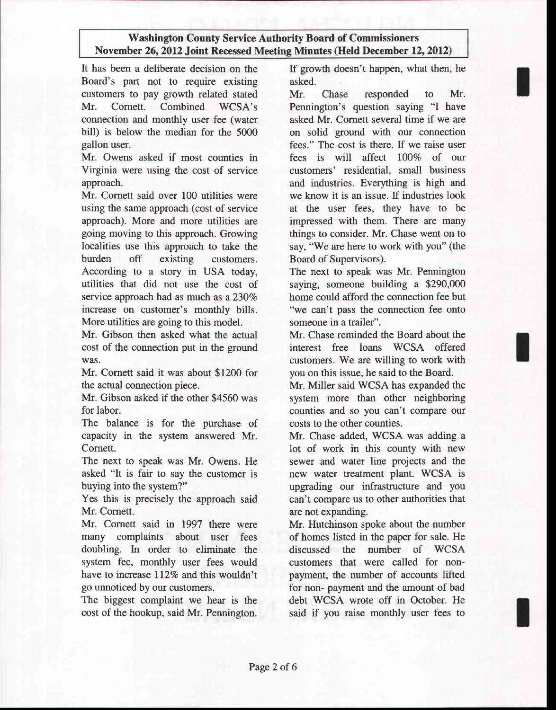It has been a deliberate decision on the Board's part not to require existing customers to pay growth related stated Mr. Comett. Combined WCSA's connection and monthly user fee (water bill) is below the median for the 5000 gallon user.

Mr. Owens asked if most counties in Virginia were using the cost of service approach.

Mr. Cornett said over 100 utilities were using the same approach (cost of service approach). More and more utilities are going moving to this approach. Growing localities use this approach to take the burden off existing customers. According to a story in USA today, utilities that did not use the cost of service approach had as much as a  $230\%$ increase on customer's monthly bills. More utilities are going to this model.

Mr. Gibson then asked what the actual cost of the connection put in the ground was.

Mr. Cornett said it was about \$1200 for the actual connection piece.

Mr. Gibson asked if the other \$4560 was for labor.

The balance is for the purchase of capacity in the system answered Mr. Cornett.

The next to speak was Mr. Owens. He asked "It is fair to say the customer is buying into the system?"

Yes this is precisely the approach said Mr. Cornett.

Mr. Cornett said in 1997 there were many complaints about user fees doubling. In order to eliminate the system fee, monthly user fees would have to increase 112% and this wouldn't go unnoticed by our customers.

The biggest complaint we hear is the cost of the hookup, said Mr. Pennington. If growth doesn't happen, what then, he asked.

Mr. Chase responded to Mr. Pennington's question saying "I have asked Mr. Cornett several time if we are on solid ground with our connection fees." The cost is there. If we raise user fees is will affect IO07o of our customers' residential, small business and industries. Everything is high and we know it is an issue. If industries look at the user fees, they have to be impressed with them. There are many things to consider. Mr. Chase went on to say, "We are here to work with you" (the Board of Supervisors).

The next to speak was Mr. Pennington saying, someone building a \$290,000 home could afford the connection fee but "we can't pass the connection fee onto someone in a trailer".

Mr. Chase reminded the Board about the interest free loans WCSA offered customers. We are willing to work with you on this issue, he said to the Board.

Mr. Miller said WCSA has expanded the system more than other neighboring counties and so you can't compare our costs to the other counties.

Mr. Chase added, WCSA was adding a lot of work in this county with new sewer and water line projects and the new water treatment plant. WCSA is upgrading our infrastructure and you can't compare us to other authorities that are not expanding.

Mr. Hutchinson spoke about the number of homes listed in the paper for sale. He discussed the number of WCSA customers that were called for nonpayment, the number of accounts lifted for non- payment and the amount of bad debt WCSA wrote off in October. He said if you raise monthly user fees to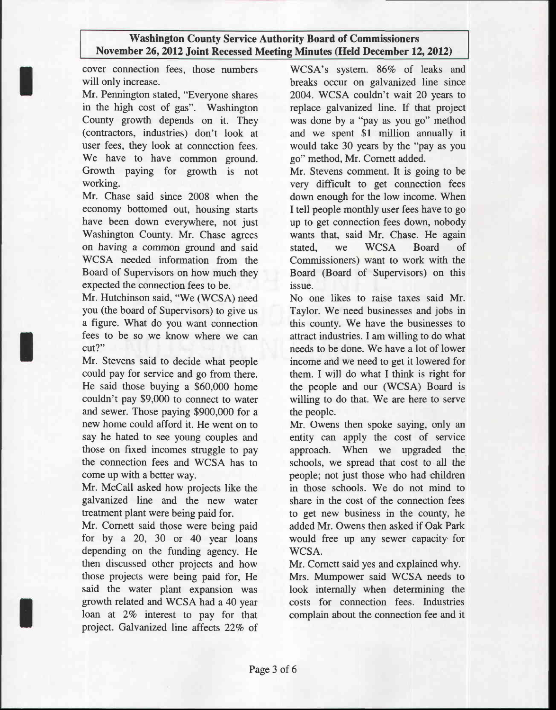cover connection fees. those numbers will only increase.

Mr. Pennington stated, "Everyone shares in the high cost of gas". Washington County growth depends on it. They (contractors, industries) don't look at user fees, they look at connection fees. We have to have common ground. Growth paying for growth is not working.

Mr. Chase said since 2008 when the economy bottomed out, housing starts have been down everywhere, not just Washington County. Mr. Chase agrees on having a common ground and said WCSA needed information from the Board of Supervisors on how much they expected the connection fees to be.

Mr. Hutchinson said, "We (WCSA) need you (the board of Supervisors) to give us a figure. What do you want connection fees to be so we know where we can cut?"

Mr. Stevens said to decide what people could pay for service and go from there. He said those buying a \$60,000 home couldn't pay \$9,000 to connect to water and sewer. Those paying \$900,000 for a new home could afford it. He went on to say he hated to see young couples and those on fixed incomes struggle to pay the connection fees and WCSA has to come up with a better way.

Mr. McCall asked how projects like the galvanized line and the new water treatment plant were being paid for.

Mr. Comett said those were being paid for by a 20, 30 or 40 year loans depending on the funding agency. He then discussed other projects and how those projects were being paid for, He said the water plant expansion was growth related and WCSA had a 40 year loan at 2% interest to pay for that project. Galvanized line affects 22% of

WCSA's system. 86% of leaks and breaks occur on galvanized line since 2004. WCSA couldn't wait 20 years to replace galvarized line. If that project was done by a "pay as you go" method and we spent \$l million annually it would take 30 years by the "pay as you go" method, Mr. Cornett added.

Mr. Stevens comment. It is going to be very difficult to get connection fees down enough for the low income. When I tell people monthly user fees have to go up to get connection fees down, nobody wants that, said Mr. Chase. He again stated, we WCSA Board of Commissioners) want to work with the Board (Board of Supervisors) on this issue.

No one likes to raise taxes said Mr. Taylor. We need businesses and jobs in this county. We have the businesses to attract industries. I am willing to do what needs to be done. We have a lot of lower income and we need to get it lowered for them. I will do what I think is right for the people and our (WCSA) Board is willing to do that. We are here to serve the people.

Mr. Owens then spoke saying, only an entity can apply the cost of service approach. When we upgraded the schools, we spread that cost to all the people; not just those who had children in those schools. We do not mind to share in the cost of the connection fees to get new business in the county, he added Mr. Owens then asked if Oak Park would free up any sewer capacity for WCSA.

Mr. Comett said yes and explained why. Mrs. Mumpower said WCSA needs to look internally when determining the costs for connection fees. Industries

complain about the connection fee and it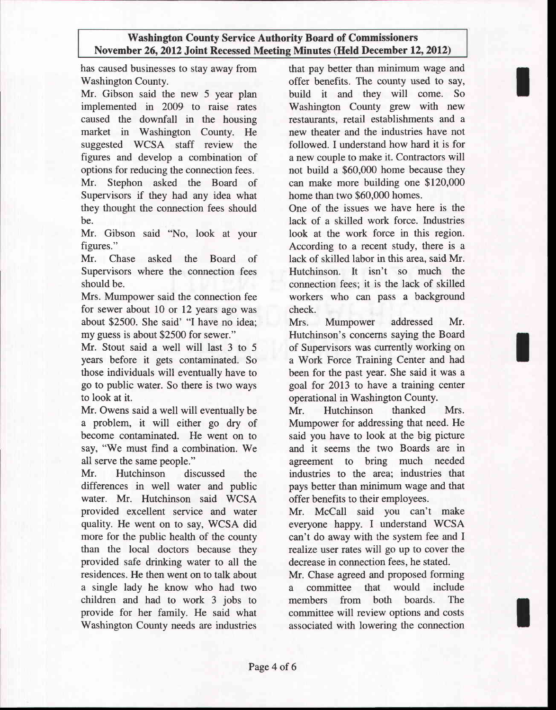has caused businesses to stay away from Washington County.

Mr. Gibson said the new 5 year plan implemented in 2009 to raise rates caused the downfall in the housing market in Washington County. He suggested WCSA staff review the figures and develop a combination of options for reducing the connection fees.

Mr. Stephon asked the Board of Supervisors if they had any idea what they thought the connection fees should be.

Mr. Gibson said "No, look at your figures."

Mr. Chase asked the Board of Supervisors where the connection fees should be.

Mrs. Mumpower said the connection fee for sewer about I0 or 12 years ago was about \$2500. She said' "I have no idea: my guess is about \$2500 for sewer."

Mr. Stout said a well will last 3 to 5 years before it gets contaminated. So those individuals will eventually have to go to public water. So there is two ways to look at it.

Mr. Owens said a well will eventually be a problem, it will either go dry of become contaminated. He went on to say, "We must find a combination. We all serve the same people."

Mr. Hutchinson discussed the differences in well water and public water. Mr. Hutchinson said WCSA provided excellent service and water quality. He went on to say, WCSA did more for the public health of the county than the local doctors because they provided safe drinking water to all the residences. He then went on to talk about a single lady he know who had two children and had to work 3 jobs to provide for her family. He said what Washington County needs are industries

that pay better than minimum wage and offer benefits. The county used to say, build it and they will come. So Washington County grew with new restaurants, retail establishments and a new theater and the industries have not followed. I understand how hard it is for a new couple to make it. Contractors will not build a \$60,000 home because they can make more building one \$120,000 home than two S60.000 homes.

One of the issues we have here is the lack of a skilled work force. Industries look at the work force in this region. According to a recent study, there is a lack of skilled labor in this area, said Mr. Hutchinson. It isn't so much the connection fees; it is the lack of skilled workers who can pass a background check.

Mrs. Mumpower addressed Mr. Hutchinson's concerns saying the Board of Supervisors was currently working on a Work Force Training Center and had been for the past year. She said it was a goal for 2013 to have a training center operational in Washington County.

Mr. Hutchinson thanked Mrs. Mumpower for addressing that need. He said you have to look at the big picture and it seems the two Boards are in agreement to bring much needed industries to the area: industries that pays better than minimum wage and that offer benefits to their employees.

Mr. McCall said you can't make everyone happy. I understand WCSA can't do away with the system fee and I realize user rates will go up to cover the decrease in connection fees, he stated.

Mr. Chase agreed and proposed forming a committee that would include members from both boards. The committee will review options and costs associated with lowering the connection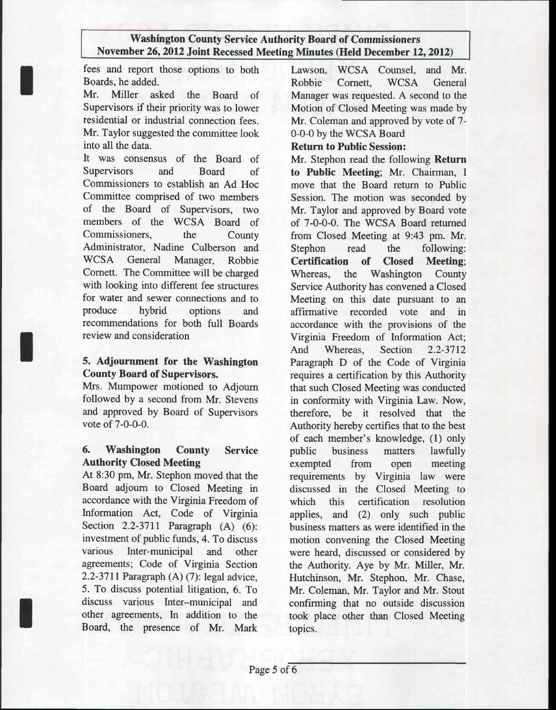fees and report those options to both Boards, he added.

Mr. Miller asked the Board of Supervisors if their priority was to lower residential or industrial connection fees. Mr. Taylor suggested the committee look into all the data.

It was consensus of the Board of Supervisors and Board of Commissioners to establish an Ad Hoc Committee comprised of two members of the Board of Supervisors, two members of the WCSA Board of Commissioners. the County Administrator, Nadine Culberson and WCSA General Manager, Robbie Comett. The Committee will be charged with looking into different fee structures for water and sewer connections and to produce hybrid options and recommendations for both full Boards review and consideration

## 5. Adjournment for the Washington County Board of Supervisors.

Mrs. Mumpower motioned to Adjoum followed by a second from Mr. Stevens and approved by Board of Supervisors vote of 7-0-0-0.

## 6. Washington County Service Authority Closed Meeting

At 8:30 pm, Mr. Stephon moved that the Board adjoum to Closed Meeting in accordance with the Virginia Freedom of Information Act, Code of Virginia Section 2.2-3711 Paragraph (A) (6): investment of public funds, 4. To discuss various Inter-municipal and other agreements; Code of Virginia Section 2.2-3711 Paragraph (A) (7): legal advice, 5. To discuss potential litigation, 6. To discuss various Inter-municipal and other agreements, In addition to the Board, the presence of Mr. Mark Lawson, WCSA Counsel, and Mr. Robbie Cornett, WCSA General Manager was requested. A second to the Motion of Closed Meeting was made by Mr. Coleman and approved by vote of 7- 0-0-0 by the WCSA Board

#### Return to Public Session:

Mr. Stephon read the following Return to Public Meeting; Mr. Chairman, I move that the Board return to Public Session. The motion was seconded by Mr. Taylor and approved by Board vote of 7-0-0-0. The WCSA Board retumed from Closed Meeting at 9:43 pm. Mr. Stephon read the following: Certification of Closed Meeting; Whereas, the Washington County Service Authority has convened a Closed Meeting on this date pursuant to an affirmative recorded vote and in accordance with the provisions of the Virginia Freedom of Information Act; And Whereas, Section 2.2-3712 Paragraph D of the Code of Virginia requires a certification by this Authority that such Closed Meeting was conducted in conformity with Virginia Law. Now, therefore, be it resolved that the Authority hereby certifies that to the best of each member's knowledge, (1) only public business matters lawfully exempted from open meeting requirements by Virginia law were discussed in the Closed Meeting to which this certification resolution applies, and (2) only such public business matters as were identified in the motion convening the Closed Meeting were heard, discussed or considered by the Authority. Aye by Mr. Miller, Mr. Hutchinson, Mr. Stephon, Mr. Chase, Mr. Coleman, Mr. Taylor and Mr. Stout confirming that no outside discussion took place other than Closed Meeting topics.